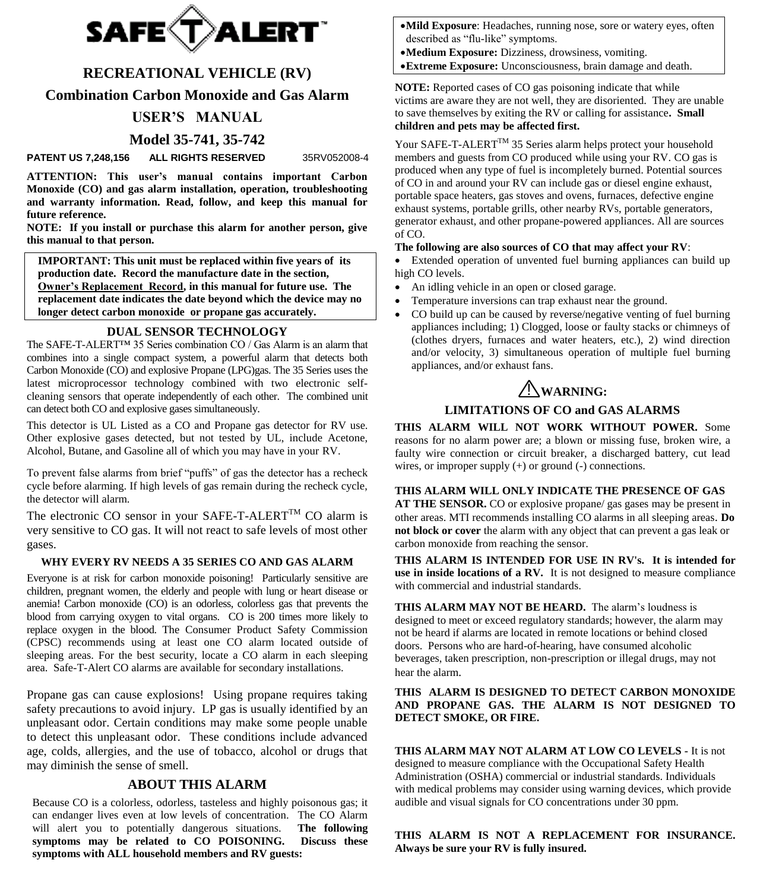

# **RECREATIONAL VEHICLE (RV)**

**Combination Carbon Monoxide and Gas Alarm**

# **USER'S MANUAL**

## **Model 35-741, 35-742**

**PATENT US 7,248,156 ALL RIGHTS RESERVED** 35RV052008-4

**ATTENTION: This user's manual contains important Carbon Monoxide (CO) and gas alarm installation, operation, troubleshooting and warranty information. Read, follow, and keep this manual for future reference.**

**NOTE: If you install or purchase this alarm for another person, give this manual to that person.**

**IMPORTANT: This unit must be replaced within five years of its production date. Record the manufacture date in the section, Owner's Replacement Record, in this manual for future use. The replacement date indicates the date beyond which the device may no longer detect carbon monoxide or propane gas accurately.** 

## **DUAL SENSOR TECHNOLOGY**

The SAFE-T-ALERT™ 35 Series combination CO / Gas Alarm is an alarm that combines into a single compact system, a powerful alarm that detects both Carbon Monoxide (CO) and explosive Propane (LPG)gas. The 35 Series uses the latest microprocessor technology combined with two electronic selfcleaning sensors that operate independently of each other. The combined unit can detect both CO and explosive gases simultaneously.

This detector is UL Listed as a CO and Propane gas detector for RV use. Other explosive gases detected, but not tested by UL, include Acetone, Alcohol, Butane, and Gasoline all of which you may have in your RV.

To prevent false alarms from brief "puffs" of gas the detector has a recheck cycle before alarming. If high levels of gas remain during the recheck cycle, the detector will alarm.

The electronic CO sensor in your SAFE-T-ALERT<sup>TM</sup> CO alarm is very sensitive to CO gas. It will not react to safe levels of most other gases.

#### **WHY EVERY RV NEEDS A 35 SERIES CO AND GAS ALARM**

Everyone is at risk for carbon monoxide poisoning! Particularly sensitive are children, pregnant women, the elderly and people with lung or heart disease or anemia! Carbon monoxide (CO) is an odorless, colorless gas that prevents the blood from carrying oxygen to vital organs.CO is 200 times more likely to replace oxygen in the blood. The Consumer Product Safety Commission (CPSC) recommends using at least one CO alarm located outside of sleeping areas. For the best security, locate a CO alarm in each sleeping area. Safe-T-Alert CO alarms are available for secondary installations.

Propane gas can cause explosions! Using propane requires taking safety precautions to avoid injury. LP gas is usually identified by an unpleasant odor. Certain conditions may make some people unable to detect this unpleasant odor. These conditions include advanced age, colds, allergies, and the use of tobacco, alcohol or drugs that may diminish the sense of smell.

#### **ABOUT THIS ALARM**

Because CO is a colorless, odorless, tasteless and highly poisonous gas; it can endanger lives even at low levels of concentration. The CO Alarm will alert you to potentially dangerous situations. **The following symptoms may be related to CO POISONING. Discuss these symptoms with ALL household members and RV guests:**

- **Mild Exposure**: Headaches, running nose, sore or watery eyes, often described as "flu-like" symptoms.
- **Medium Exposure:** Dizziness, drowsiness, vomiting.
- **Extreme Exposure:** Unconsciousness, brain damage and death.

**NOTE:** Reported cases of CO gas poisoning indicate that while victims are aware they are not well, they are disoriented. They are unable to save themselves by exiting the RV or calling for assistance**. Small children and pets may be affected first.**

Your SAFE-T-ALERT™ 35 Series alarm helps protect your household members and guests from CO produced while using your RV. CO gas is produced when any type of fuel is incompletely burned. Potential sources of CO in and around your RV can include gas or diesel engine exhaust, portable space heaters, gas stoves and ovens, furnaces, defective engine exhaust systems, portable grills, other nearby RVs, portable generators, generator exhaust, and other propane-powered appliances. All are sources of CO.

#### **The following are also sources of CO that may affect your RV**:

 Extended operation of unvented fuel burning appliances can build up high CO levels.

- An idling vehicle in an open or closed garage.
- Temperature inversions can trap exhaust near the ground.
- CO build up can be caused by reverse/negative venting of fuel burning appliances including; 1) Clogged, loose or faulty stacks or chimneys of (clothes dryers, furnaces and water heaters, etc.), 2) wind direction and/or velocity, 3) simultaneous operation of multiple fuel burning appliances, and/or exhaust fans.

# ! **WARNING:**

## **LIMITATIONS OF CO and GAS ALARMS**

**THIS ALARM WILL NOT WORK WITHOUT POWER.** Some reasons for no alarm power are; a blown or missing fuse, broken wire, a faulty wire connection or circuit breaker, a discharged battery, cut lead wires, or improper supply (+) or ground (-) connections.

**THIS ALARM WILL ONLY INDICATE THE PRESENCE OF GAS** 

**AT THE SENSOR.** CO or explosive propane/ gas gases may be present in other areas. MTI recommends installing CO alarms in all sleeping areas. **Do not block or cover** the alarm with any object that can prevent a gas leak or carbon monoxide from reaching the sensor.

**THIS ALARM IS INTENDED FOR USE IN RV's. It is intended for use in inside locations of a RV.** It is not designed to measure compliance with commercial and industrial standards.

**THIS ALARM MAY NOT BE HEARD.** The alarm's loudness is designed to meet or exceed regulatory standards; however, the alarm may not be heard if alarms are located in remote locations or behind closed doors. Persons who are hard-of-hearing, have consumed alcoholic beverages, taken prescription, non-prescription or illegal drugs, may not hear the alarm.

#### **THIS ALARM IS DESIGNED TO DETECT CARBON MONOXIDE AND PROPANE GAS. THE ALARM IS NOT DESIGNED TO DETECT SMOKE, OR FIRE.**

**THIS ALARM MAY NOT ALARM AT LOW CO LEVELS -** It is not designed to measure compliance with the Occupational Safety Health Administration (OSHA) commercial or industrial standards. Individuals with medical problems may consider using warning devices, which provide audible and visual signals for CO concentrations under 30 ppm.

**THIS ALARM IS NOT A REPLACEMENT FOR INSURANCE. Always be sure your RV is fully insured.**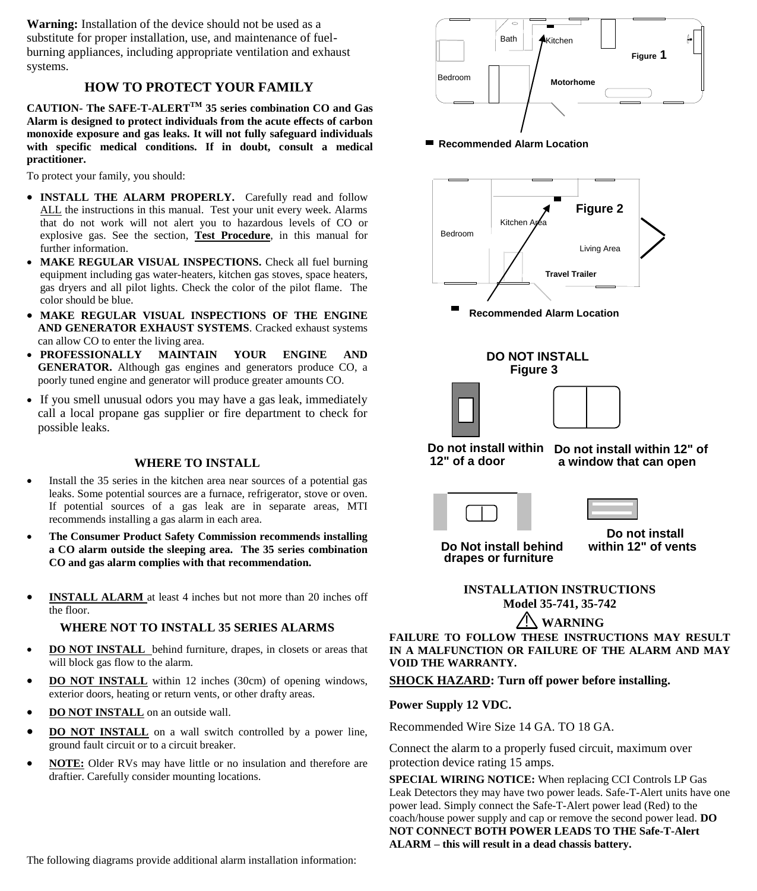**Warning:** Installation of the device should not be used as a substitute for proper installation, use, and maintenance of fuelburning appliances, including appropriate ventilation and exhaust systems.

# **HOW TO PROTECT YOUR FAMILY**

**CAUTION- The SAFE-T-ALERTTM 35 series combination CO and Gas Alarm is designed to protect individuals from the acute effects of carbon monoxide exposure and gas leaks. It will not fully safeguard individuals with specific medical conditions. If in doubt, consult a medical practitioner.**

To protect your family, you should:

- **INSTALL THE ALARM PROPERLY.** Carefully read and follow ALL the instructions in this manual. Test your unit every week. Alarms that do not work will not alert you to hazardous levels of CO or explosive gas. See the section, **Test Procedure**, in this manual for further information.
- MAKE REGULAR VISUAL INSPECTIONS. Check all fuel burning equipment including gas water-heaters, kitchen gas stoves, space heaters, gas dryers and all pilot lights. Check the color of the pilot flame. The color should be blue.
- **MAKE REGULAR VISUAL INSPECTIONS OF THE ENGINE AND GENERATOR EXHAUST SYSTEMS**. Cracked exhaust systems can allow CO to enter the living area.
- **PROFESSIONALLY MAINTAIN YOUR ENGINE AND GENERATOR.** Although gas engines and generators produce CO, a poorly tuned engine and generator will produce greater amounts CO.
- If you smell unusual odors you may have a gas leak, immediately call a local propane gas supplier or fire department to check for possible leaks.

## **WHERE TO INSTALL**

- Install the 35 series in the kitchen area near sources of a potential gas leaks. Some potential sources are a furnace, refrigerator, stove or oven. If potential sources of a gas leak are in separate areas, MTI recommends installing a gas alarm in each area.
- **The Consumer Product Safety Commission recommends installing a CO alarm outside the sleeping area. The 35 series combination CO and gas alarm complies with that recommendation.**
- **INSTALL ALARM** at least 4 inches but not more than 20 inches off the floor.

## **WHERE NOT TO INSTALL 35 SERIES ALARMS**

- **DO NOT INSTALL** behind furniture, drapes, in closets or areas that will block gas flow to the alarm.
- **DO NOT INSTALL** within 12 inches (30cm) of opening windows, exterior doors, heating or return vents, or other drafty areas.
- **DO NOT INSTALL** on an outside wall.
- **DO NOT INSTALL** on a wall switch controlled by a power line, ground fault circuit or to a circuit breaker.
- **NOTE:** Older RVs may have little or no insulation and therefore are draftier. Carefully consider mounting locations.



■ Recommended Alarm Location



**IN A MALFUNCTION OR FAILURE OF THE ALARM AND MAY VOID THE WARRANTY.**

**SHOCK HAZARD: Turn off power before installing.**

## **Power Supply 12 VDC.**

Recommended Wire Size 14 GA. TO 18 GA.

Connect the alarm to a properly fused circuit, maximum over protection device rating 15 amps.

**SPECIAL WIRING NOTICE:** When replacing CCI Controls LP Gas Leak Detectors they may have two power leads. Safe-T-Alert units have one power lead. Simply connect the Safe-T-Alert power lead (Red) to the coach/house power supply and cap or remove the second power lead. **DO NOT CONNECT BOTH POWER LEADS TO THE Safe-T-Alert ALARM – this will result in a dead chassis battery.**

The following diagrams provide additional alarm installation information: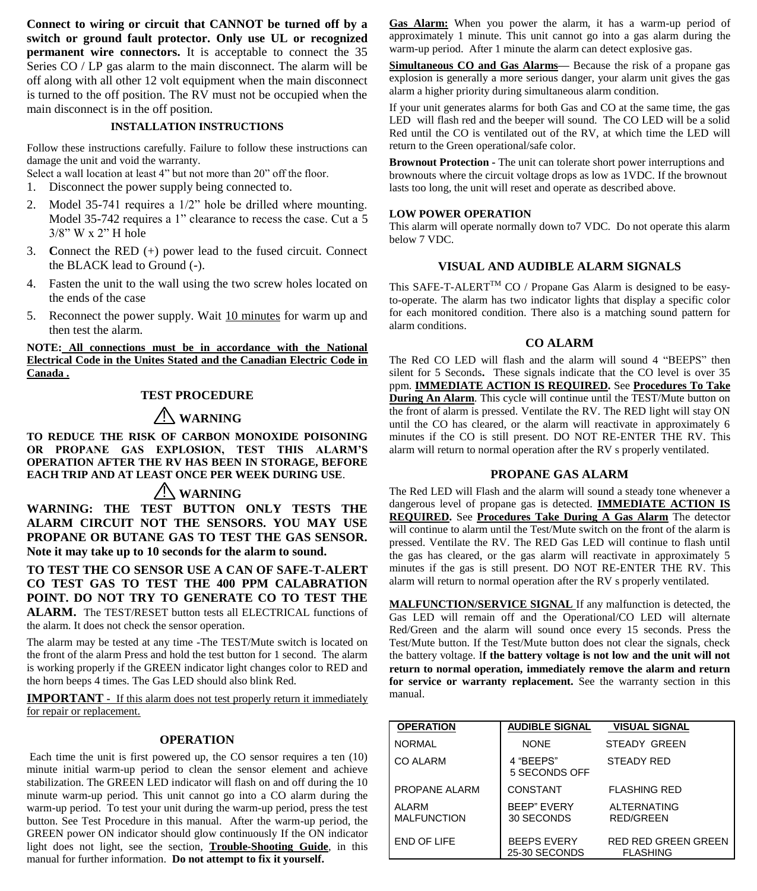**Connect to wiring or circuit that CANNOT be turned off by a switch or ground fault protector. Only use UL or recognized permanent wire connectors.** It is acceptable to connect the 35 Series CO / LP gas alarm to the main disconnect. The alarm will be off along with all other 12 volt equipment when the main disconnect is turned to the off position. The RV must not be occupied when the main disconnect is in the off position.

#### **INSTALLATION INSTRUCTIONS**

Follow these instructions carefully. Failure to follow these instructions can damage the unit and void the warranty.

Select a wall location at least 4" but not more than 20" off the floor.

- 1. Disconnect the power supply being connected to.
- 2. Model 35-741 requires a 1/2" hole be drilled where mounting. Model 35-742 requires a 1" clearance to recess the case. Cut a 5 3/8" W x 2" H hole
- 3. **C**onnect the RED (+) power lead to the fused circuit. Connect the BLACK lead to Ground (-).
- 4. Fasten the unit to the wall using the two screw holes located on the ends of the case
- 5. Reconnect the power supply. Wait 10 minutes for warm up and then test the alarm.

## **NOTE: All connections must be in accordance with the National Electrical Code in the Unites Stated and the Canadian Electric Code in Canada .**

## **TEST PROCEDURE**

# ! **WARNING**

**TO REDUCE THE RISK OF CARBON MONOXIDE POISONING OR PROPANE GAS EXPLOSION, TEST THIS ALARM'S OPERATION AFTER THE RV HAS BEEN IN STORAGE, BEFORE EACH TRIP AND AT LEAST ONCE PER WEEK DURING USE**.

# ! **WARNING**

**WARNING: THE TEST BUTTON ONLY TESTS THE ALARM CIRCUIT NOT THE SENSORS. YOU MAY USE PROPANE OR BUTANE GAS TO TEST THE GAS SENSOR. Note it may take up to 10 seconds for the alarm to sound.**

**TO TEST THE CO SENSOR USE A CAN OF SAFE-T-ALERT CO TEST GAS TO TEST THE 400 PPM CALABRATION POINT. DO NOT TRY TO GENERATE CO TO TEST THE ALARM.** The TEST/RESET button tests all ELECTRICAL functions of the alarm. It does not check the sensor operation.

The alarm may be tested at any time -The TEST/Mute switch is located on the front of the alarm Press and hold the test button for 1 second. The alarm is working properly if the GREEN indicator light changes color to RED and the horn beeps 4 times. The Gas LED should also blink Red.

**IMPORTANT** - If this alarm does not test properly return it immediately for repair or replacement.

#### **OPERATION**

Each time the unit is first powered up, the CO sensor requires a ten (10) minute initial warm-up period to clean the sensor element and achieve stabilization. The GREEN LED indicator will flash on and off during the 10 minute warm-up period. This unit cannot go into a CO alarm during the warm-up period. To test your unit during the warm-up period, press the test button. See Test Procedure in this manual. After the warm-up period, the GREEN power ON indicator should glow continuously If the ON indicator light does not light, see the section, **Trouble-Shooting Guide**, in this manual for further information. **Do not attempt to fix it yourself.**

**Gas Alarm:** When you power the alarm, it has a warm-up period of approximately 1 minute. This unit cannot go into a gas alarm during the warm-up period. After 1 minute the alarm can detect explosive gas.

**Simultaneous CO and Gas Alarms—** Because the risk of a propane gas explosion is generally a more serious danger, your alarm unit gives the gas alarm a higher priority during simultaneous alarm condition.

If your unit generates alarms for both Gas and CO at the same time, the gas LED will flash red and the beeper will sound. The CO LED will be a solid Red until the CO is ventilated out of the RV, at which time the LED will return to the Green operational/safe color.

**Brownout Protection -** The unit can tolerate short power interruptions and brownouts where the circuit voltage drops as low as 1VDC. If the brownout lasts too long, the unit will reset and operate as described above.

#### **LOW POWER OPERATION**

This alarm will operate normally down to7 VDC. Do not operate this alarm below 7 VDC.

## **VISUAL AND AUDIBLE ALARM SIGNALS**

This SAFE-T-ALERT<sup>TM</sup> CO / Propane Gas Alarm is designed to be easyto-operate. The alarm has two indicator lights that display a specific color for each monitored condition. There also is a matching sound pattern for alarm conditions.

#### **CO ALARM**

The Red CO LED will flash and the alarm will sound 4 "BEEPS" then silent for 5 Seconds**.** These signals indicate that the CO level is over 35 ppm. **IMMEDIATE ACTION IS REQUIRED.** See **Procedures To Take During An Alarm**. This cycle will continue until the TEST/Mute button on the front of alarm is pressed. Ventilate the RV. The RED light will stay ON until the CO has cleared, or the alarm will reactivate in approximately 6 minutes if the CO is still present. DO NOT RE-ENTER THE RV. This alarm will return to normal operation after the RV s properly ventilated.

## **PROPANE GAS ALARM**

The Red LED will Flash and the alarm will sound a steady tone whenever a dangerous level of propane gas is detected. **IMMEDIATE ACTION IS REQUIRED.** See **Procedures Take During A Gas Alarm** The detector will continue to alarm until the Test/Mute switch on the front of the alarm is pressed. Ventilate the RV. The RED Gas LED will continue to flash until the gas has cleared, or the gas alarm will reactivate in approximately 5 minutes if the gas is still present. DO NOT RE-ENTER THE RV. This alarm will return to normal operation after the RV s properly ventilated.

**MALFUNCTION/SERVICE SIGNAL** If any malfunction is detected, the Gas LED will remain off and the Operational/CO LED will alternate Red/Green and the alarm will sound once every 15 seconds. Press the Test/Mute button. If the Test/Mute button does not clear the signals, check the battery voltage. I**f the battery voltage is not low and the unit will not return to normal operation, immediately remove the alarm and return for service or warranty replacement.** See the warranty section in this manual.

| <b>OPERATION</b>            | <b>AUDIBLE SIGNAL</b>               | <b>VISUAL SIGNAL</b>                          |
|-----------------------------|-------------------------------------|-----------------------------------------------|
| <b>NORMAL</b>               | <b>NONE</b>                         | <b>STEADY GREEN</b>                           |
| CO ALARM                    | 4 "BEEPS"<br>5 SECONDS OFF          | <b>STEADY RED</b>                             |
| PROPANE ALARM               | CONSTANT                            | <b>FLASHING RED</b>                           |
| ALARM<br><b>MALFUNCTION</b> | <b>BEEP" EVERY</b><br>30 SECONDS    | <b>ALTERNATING</b><br><b>RED/GREEN</b>        |
| END OF LIFE                 | <b>BEEPS EVERY</b><br>25-30 SECONDS | <b>RED RED GREEN GREEN</b><br><b>FLASHING</b> |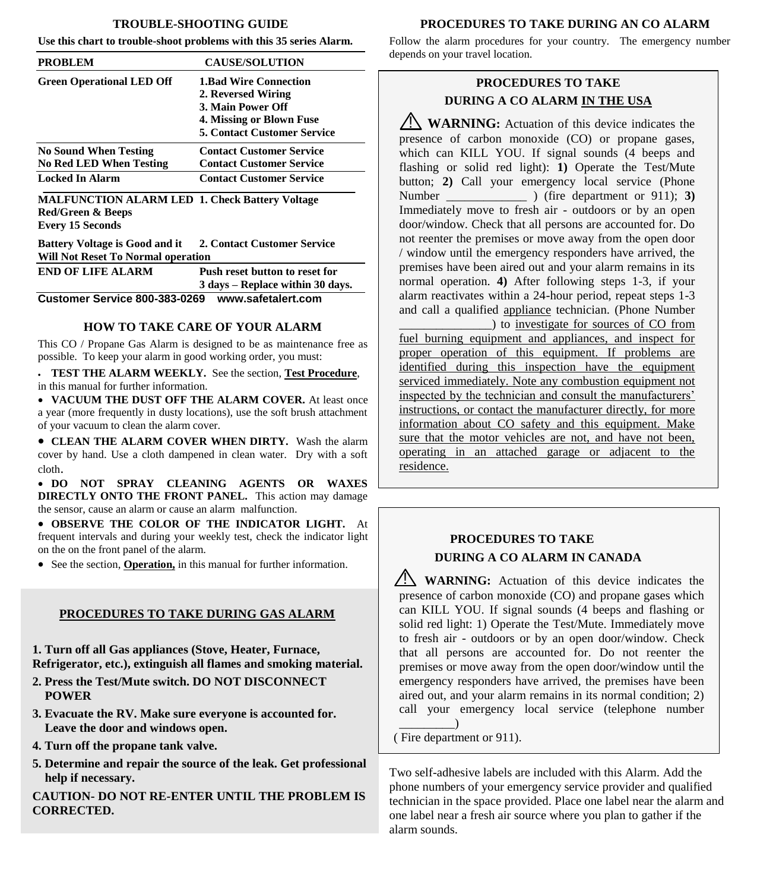#### **TROUBLE-SHOOTING GUIDE**

**Use this chart to trouble-shoot problems with this 35 series Alarm.**

| <b>PROBLEM</b>                                                                           | <b>CAUSE/SOLUTION</b>                                                                                                                     |
|------------------------------------------------------------------------------------------|-------------------------------------------------------------------------------------------------------------------------------------------|
| <b>Green Operational LED Off</b>                                                         | <b>1.Bad Wire Connection</b><br>2. Reversed Wiring<br>3. Main Power Off<br>4. Missing or Blown Fuse<br><b>5. Contact Customer Service</b> |
| <b>No Sound When Testing</b><br><b>No Red LED When Testing</b><br><b>Locked In Alarm</b> | <b>Contact Customer Service</b><br><b>Contact Customer Service</b><br><b>Contact Customer Service</b>                                     |

**MALFUNCTION ALARM LED 1. Check Battery Voltage Red/Green & Beeps Every 15 Seconds** 

**Battery Voltage is Good and it 2. Contact Customer Service Will Not Reset To Normal operation** 

| <b>END OF LIFE ALARM</b>      | Push reset button to reset for   |
|-------------------------------|----------------------------------|
|                               | 3 days – Replace within 30 days. |
| Customer Service 800-383-0269 | www.safetalert.com               |

## **HOW TO TAKE CARE OF YOUR ALARM**

This CO / Propane Gas Alarm is designed to be as maintenance free as possible. To keep your alarm in good working order, you must:

 **TEST THE ALARM WEEKLY.** See the section, **Test Procedure**, in this manual for further information.

 **VACUUM THE DUST OFF THE ALARM COVER.** At least once a year (more frequently in dusty locations), use the soft brush attachment of your vacuum to clean the alarm cover.

 **CLEAN THE ALARM COVER WHEN DIRTY.** Wash the alarm cover by hand. Use a cloth dampened in clean water. Dry with a soft cloth.

 **DO NOT SPRAY CLEANING AGENTS OR WAXES DIRECTLY ONTO THE FRONT PANEL.** This action may damage the sensor, cause an alarm or cause an alarm malfunction.

 **OBSERVE THE COLOR OF THE INDICATOR LIGHT.** At frequent intervals and during your weekly test, check the indicator light on the on the front panel of the alarm.

• See the section, **Operation**, in this manual for further information.

## **PROCEDURES TO TAKE DURING GAS ALARM**

**1. Turn off all Gas appliances (Stove, Heater, Furnace, Refrigerator, etc.), extinguish all flames and smoking material.** 

- **2. Press the Test/Mute switch. DO NOT DISCONNECT POWER**
- **3. Evacuate the RV. Make sure everyone is accounted for. Leave the door and windows open.**
- **4. Turn off the propane tank valve.**
- **5. Determine and repair the source of the leak. Get professional help if necessary.**

**CAUTION- DO NOT RE-ENTER UNTIL THE PROBLEM IS CORRECTED.**

## **PROCEDURES TO TAKE DURING AN CO ALARM**

Follow the alarm procedures for your country. The emergency number depends on your travel location.

# **PROCEDURES TO TAKE DURING A CO ALARM IN THE USA**

**WARNING**: Actuation of this device indicates the presence of carbon monoxide (CO) or propane gases, which can KILL YOU. If signal sounds (4 beeps and flashing or solid red light): **1)** Operate the Test/Mute button; **2)** Call your emergency local service (Phone Number \_\_\_\_\_\_\_\_\_\_\_\_\_ ) (fire department or 911); **3)** Immediately move to fresh air - outdoors or by an open door/window. Check that all persons are accounted for. Do not reenter the premises or move away from the open door / window until the emergency responders have arrived, the premises have been aired out and your alarm remains in its normal operation. **4)** After following steps 1-3, if your alarm reactivates within a 24-hour period, repeat steps 1-3 and call a qualified appliance technician. (Phone Number

\_\_\_\_\_\_\_\_\_\_\_\_\_\_\_) to investigate for sources of CO from fuel burning equipment and appliances, and inspect for proper operation of this equipment. If problems are identified during this inspection have the equipment serviced immediately. Note any combustion equipment not inspected by the technician and consult the manufacturers' instructions, or contact the manufacturer directly, for more information about CO safety and this equipment. Make sure that the motor vehicles are not, and have not been, operating in an attached garage or adjacent to the residence.

# **PROCEDURES TO TAKE DURING A CO ALARM IN CANADA**

**WARNING:** Actuation of this device indicates the presence of carbon monoxide (CO) and propane gases which can KILL YOU. If signal sounds (4 beeps and flashing or solid red light: 1) Operate the Test/Mute. Immediately move to fresh air - outdoors or by an open door/window. Check that all persons are accounted for. Do not reenter the premises or move away from the open door/window until the emergency responders have arrived, the premises have been aired out, and your alarm remains in its normal condition; 2) call your emergency local service (telephone number  $\rule{1em}{0.15mm}$ 

( Fire department or 911).

Two self-adhesive labels are included with this Alarm. Add the phone numbers of your emergency service provider and qualified technician in the space provided. Place one label near the alarm and one label near a fresh air source where you plan to gather if the alarm sounds.